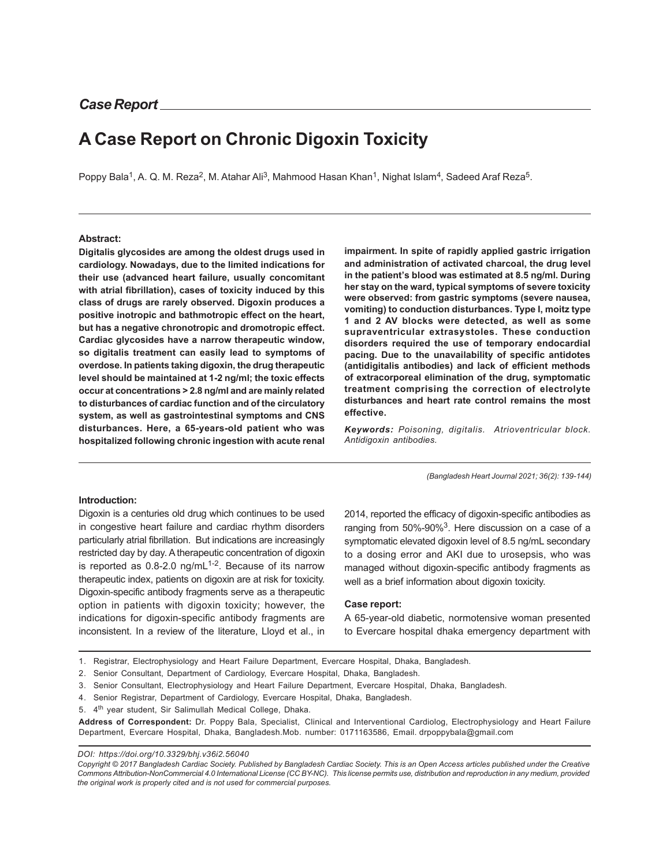# **A Case Report on Chronic Digoxin Toxicity**

Poppy Bala<sup>1</sup>, A. Q. M. Reza<sup>2</sup>, M. Atahar Ali<sup>3</sup>, Mahmood Hasan Khan<sup>1</sup>, Nighat Islam<sup>4</sup>, Sadeed Araf Reza<sup>5</sup>.

#### **Abstract:**

**Digitalis glycosides are among the oldest drugs used in cardiology. Nowadays, due to the limited indications for their use (advanced heart failure, usually concomitant with atrial fibrillation), cases of toxicity induced by this class of drugs are rarely observed. Digoxin produces a positive inotropic and bathmotropic effect on the heart, but has a negative chronotropic and dromotropic effect. Cardiac glycosides have a narrow therapeutic window, so digitalis treatment can easily lead to symptoms of overdose. In patients taking digoxin, the drug therapeutic level should be maintained at 1-2 ng/ml; the toxic effects occur at concentrations > 2.8 ng/ml and are mainly related to disturbances of cardiac function and of the circulatory system, as well as gastrointestinal symptoms and CNS disturbances. Here, a 65-years-old patient who was hospitalized following chronic ingestion with acute renal**

**impairment. In spite of rapidly applied gastric irrigation and administration of activated charcoal, the drug level in the patient's blood was estimated at 8.5 ng/ml. During her stay on the ward, typical symptoms of severe toxicity were observed: from gastric symptoms (severe nausea, vomiting) to conduction disturbances. Type I, moitz type 1 and 2 AV blocks were detected, as well as some supraventricular extrasystoles. These conduction disorders required the use of temporary endocardial pacing. Due to the unavailability of specific antidotes (antidigitalis antibodies) and lack of efficient methods of extracorporeal elimination of the drug, symptomatic treatment comprising the correction of electrolyte disturbances and heart rate control remains the most effective.**

*Keywords: Poisoning, digitalis. Atrioventricular block. Antidigoxin antibodies.*

*(Bangladesh Heart Journal 2021; 36(2): 139-144)*

### **Introduction:**

Digoxin is a centuries old drug which continues to be used in congestive heart failure and cardiac rhythm disorders particularly atrial fibrillation. But indications are increasingly restricted day by day. A therapeutic concentration of digoxin is reported as  $0.8$ -2.0 ng/mL $1-2$ . Because of its narrow therapeutic index, patients on digoxin are at risk for toxicity. Digoxin-specific antibody fragments serve as a therapeutic option in patients with digoxin toxicity; however, the indications for digoxin-specific antibody fragments are inconsistent. In a review of the literature, Lloyd et al., in 2014, reported the efficacy of digoxin-specific antibodies as ranging from 50%-90%<sup>3</sup>. Here discussion on a case of a symptomatic elevated digoxin level of 8.5 ng/mL secondary to a dosing error and AKI due to urosepsis, who was managed without digoxin-specific antibody fragments as well as a brief information about digoxin toxicity.

#### **Case report:**

A 65-year-old diabetic, normotensive woman presented to Evercare hospital dhaka emergency department with

- 2. Senior Consultant, Department of Cardiology, Evercare Hospital, Dhaka, Bangladesh.
- 3. Senior Consultant, Electrophysiology and Heart Failure Department, Evercare Hospital, Dhaka, Bangladesh.
- 4. Senior Registrar, Department of Cardiology, Evercare Hospital, Dhaka, Bangladesh.
- 5. 4<sup>th</sup> year student, Sir Salimullah Medical College, Dhaka.

**Address of Correspondent:** Dr. Poppy Bala, Specialist, Clinical and Interventional Cardiolog, Electrophysiology and Heart Failure Department, Evercare Hospital, Dhaka, Bangladesh.Mob. number: 0171163586, Email. drpoppybala@gmail.com

*DOI: https://doi.org/10.3329/bhj.v36i2.56040*

*Copyright © 2017 Bangladesh Cardiac Society. Published by Bangladesh Cardiac Society. This is an Open Access articles published under the Creative Commons Attribution-NonCommercial 4.0 International License (CC BY-NC). This license permits use, distribution and reproduction in any medium, provided the original work is properly cited and is not used for commercial purposes.*

<sup>1.</sup> Registrar, Electrophysiology and Heart Failure Department, Evercare Hospital, Dhaka, Bangladesh.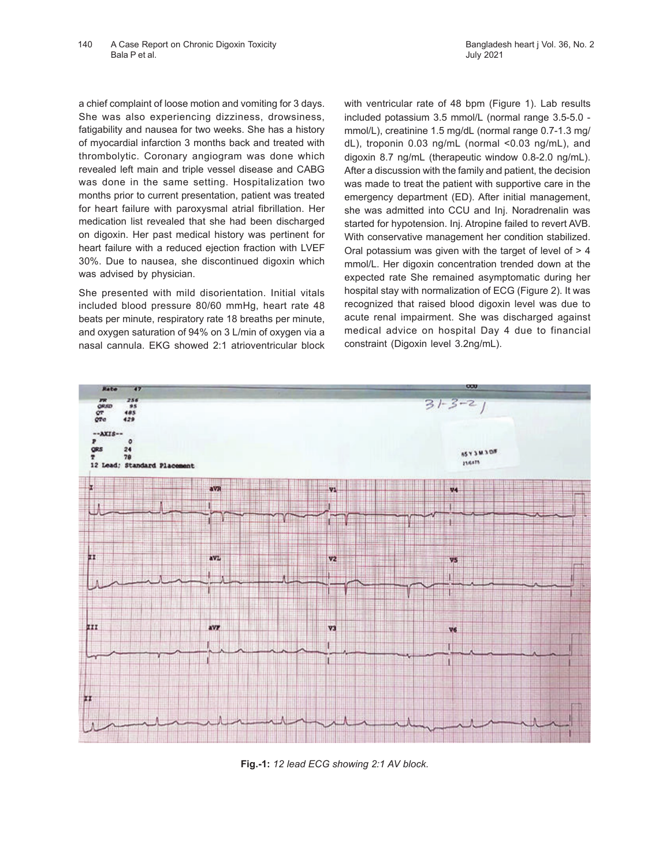a chief complaint of loose motion and vomiting for 3 days. She was also experiencing dizziness, drowsiness, fatigability and nausea for two weeks. She has a history of myocardial infarction 3 months back and treated with thrombolytic. Coronary angiogram was done which revealed left main and triple vessel disease and CABG was done in the same setting. Hospitalization two months prior to current presentation, patient was treated for heart failure with paroxysmal atrial fibrillation. Her medication list revealed that she had been discharged on digoxin. Her past medical history was pertinent for heart failure with a reduced ejection fraction with LVEF 30%. Due to nausea, she discontinued digoxin which was advised by physician.

She presented with mild disorientation. Initial vitals included blood pressure 80/60 mmHg, heart rate 48 beats per minute, respiratory rate 18 breaths per minute, and oxygen saturation of 94% on 3 L/min of oxygen via a nasal cannula. EKG showed 2:1 atrioventricular block

with ventricular rate of 48 bpm (Figure 1). Lab results included potassium 3.5 mmol/L (normal range 3.5-5.0 mmol/L), creatinine 1.5 mg/dL (normal range 0.7-1.3 mg/ dL), troponin 0.03 ng/mL (normal <0.03 ng/mL), and digoxin 8.7 ng/mL (therapeutic window 0.8-2.0 ng/mL). After a discussion with the family and patient, the decision was made to treat the patient with supportive care in the emergency department (ED). After initial management, she was admitted into CCU and Inj. Noradrenalin was started for hypotension. Inj. Atropine failed to revert AVB. With conservative management her condition stabilized. Oral potassium was given with the target of level of  $> 4$ mmol/L. Her digoxin concentration trended down at the expected rate She remained asymptomatic during her hospital stay with normalization of ECG (Figure 2). It was recognized that raised blood digoxin level was due to acute renal impairment. She was discharged against medical advice on hospital Day 4 due to financial constraint (Digoxin level 3.2ng/mL).



**Fig.-1:** *12 lead ECG showing 2:1 AV block.*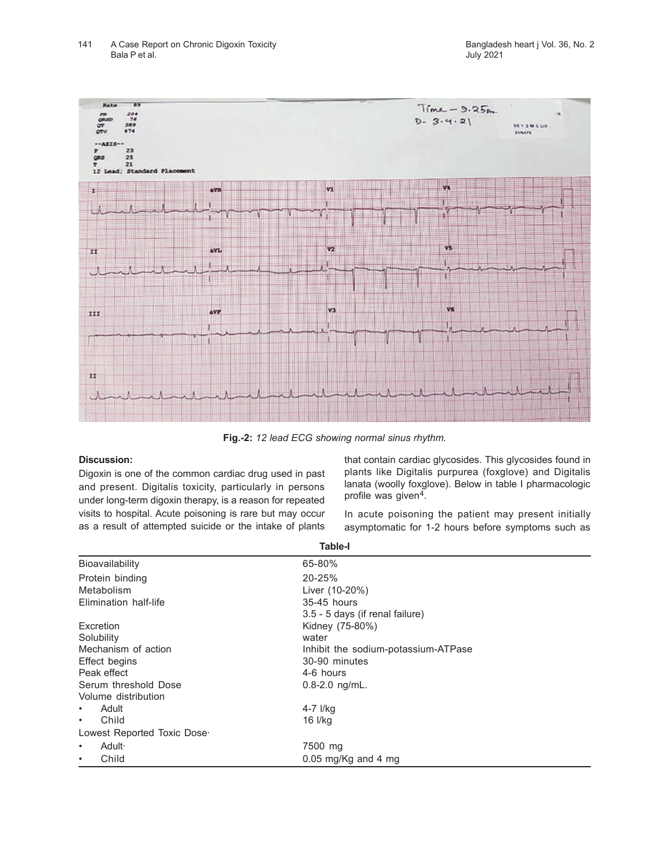

**Fig.-2:** *12 lead ECG showing normal sinus rhythm.*

## **Discussion:**

Digoxin is one of the common cardiac drug used in past and present. Digitalis toxicity, particularly in persons under long-term digoxin therapy, is a reason for repeated visits to hospital. Acute poisoning is rare but may occur as a result of attempted suicide or the intake of plants

that contain cardiac glycosides. This glycosides found in plants like Digitalis purpurea (foxglove) and Digitalis lanata (woolly foxglove). Below in table I pharmacologic profile was given<sup>4</sup>.

In acute poisoning the patient may present initially asymptomatic for 1-2 hours before symptoms such as

| <b>Table-I</b>              |                                     |  |  |
|-----------------------------|-------------------------------------|--|--|
| Bioavailability             | 65-80%                              |  |  |
| Protein binding             | 20-25%                              |  |  |
| Metabolism                  | Liver (10-20%)                      |  |  |
| Elimination half-life       | 35-45 hours                         |  |  |
|                             | 3.5 - 5 days (if renal failure)     |  |  |
| Excretion                   | Kidney (75-80%)                     |  |  |
| Solubility                  | water                               |  |  |
| Mechanism of action         | Inhibit the sodium-potassium-ATPase |  |  |
| Effect begins               | 30-90 minutes                       |  |  |
| Peak effect                 | 4-6 hours                           |  |  |
| Serum threshold Dose        | 0.8-2.0 ng/mL.                      |  |  |
| Volume distribution         |                                     |  |  |
| Adult<br>٠                  | 4-7 I/kg                            |  |  |
| Child<br>٠                  | 16 l/kg                             |  |  |
| Lowest Reported Toxic Dose- |                                     |  |  |
| Adult ·<br>٠                | 7500 mg                             |  |  |
| Child<br>$\bullet$          | 0.05 mg/Kg and 4 mg                 |  |  |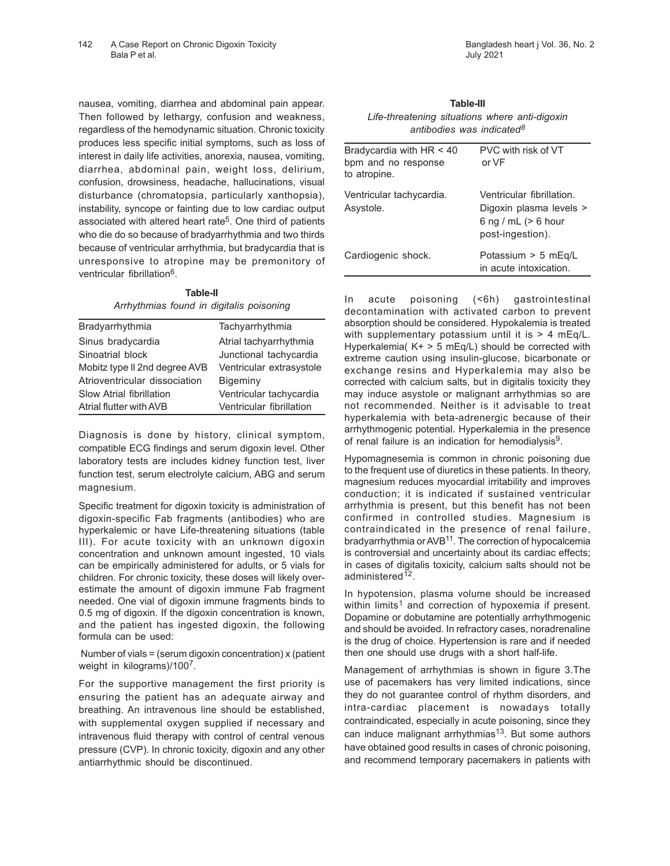nausea, vomiting, diarrhea and abdominal pain appear. Then followed by lethargy, confusion and weakness, regardless of the hemodynamic situation. Chronic toxicity produces less specific initial symptoms, such as loss of interest in daily life activities, anorexia, nausea, vomiting, diarrhea, abdominal pain, weight loss, delirium, confusion, drowsiness, headache, hallucinations, visual disturbance (chromatopsia, particularly xanthopsia), instability, syncope or fainting due to low cardiac output associated with altered heart rate<sup>5</sup>. One third of patients who die do so because of bradyarrhythmia and two thirds because of ventricular arrhythmia, but bradycardia that is unresponsive to atropine may be premonitory of ventricular fibrillation<sup>6</sup>.

**Table-II** *Arrhythmias found in digitalis poisoning*

| Bradyarrhythmia               | Tachyarrhythmia          |  |  |
|-------------------------------|--------------------------|--|--|
| Sinus bradycardia             | Atrial tachyarrhythmia   |  |  |
| Sinoatrial block              | Junctional tachycardia   |  |  |
| Mobitz type II 2nd degree AVB | Ventricular extrasystole |  |  |
| Atrioventricular dissociation | Bigeminy                 |  |  |
| Slow Atrial fibrillation      | Ventricular tachycardia  |  |  |
| Atrial flutter with AVB       | Ventricular fibrillation |  |  |

Diagnosis is done by history, clinical symptom, compatible ECG findings and serum digoxin level. Other laboratory tests are includes kidney function test, liver function test, serum electrolyte calcium, ABG and serum magnesium.

Specific treatment for digoxin toxicity is administration of digoxin-specific Fab fragments (antibodies) who are hyperkalemic or have Life-threatening situations (table III). For acute toxicity with an unknown digoxin concentration and unknown amount ingested, 10 vials can be empirically administered for adults, or 5 vials for children. For chronic toxicity, these doses will likely overestimate the amount of digoxin immune Fab fragment needed. One vial of digoxin immune fragments binds to 0.5 mg of digoxin. If the digoxin concentration is known, and the patient has ingested digoxin, the following formula can be used:

 Number of vials = (serum digoxin concentration) x (patient weight in kilograms)/100<sup>7</sup>.

For the supportive management the first priority is ensuring the patient has an adequate airway and breathing. An intravenous line should be established, with supplemental oxygen supplied if necessary and intravenous fluid therapy with control of central venous pressure (CVP). In chronic toxicity, digoxin and any other antiarrhythmic should be discontinued.

| Table-III                                      |                                       |  |  |  |  |
|------------------------------------------------|---------------------------------------|--|--|--|--|
| Life-threatening situations where anti-digoxin |                                       |  |  |  |  |
|                                                | antibodies was indicated <sup>8</sup> |  |  |  |  |

| PVC with risk of VT<br>or VF                                                                      |  |  |
|---------------------------------------------------------------------------------------------------|--|--|
| Ventricular fibrillation.<br>Digoxin plasma levels ><br>6 ng / mL $(> 6$ hour<br>post-ingestion). |  |  |
| Potassium > 5 mEq/L<br>in acute intoxication.                                                     |  |  |
|                                                                                                   |  |  |

In acute poisoning (<6h) gastrointestinal decontamination with activated carbon to prevent absorption should be considered. Hypokalemia is treated with supplementary potassium until it is  $> 4$  mEq/L. Hyperkalemia( $K+ > 5$  mEq/L) should be corrected with extreme caution using insulin-glucose, bicarbonate or exchange resins and Hyperkalemia may also be corrected with calcium salts, but in digitalis toxicity they may induce asystole or malignant arrhythmias so are not recommended. Neither is it advisable to treat hyperkalemia with beta-adrenergic because of their arrhythmogenic potential. Hyperkalemia in the presence of renal failure is an indication for hemodialysis<sup>9</sup>.

Hypomagnesemia is common in chronic poisoning due to the frequent use of diuretics in these patients. In theory, magnesium reduces myocardial irritability and improves conduction; it is indicated if sustained ventricular arrhythmia is present, but this benefit has not been confirmed in controlled studies. Magnesium is contraindicated in the presence of renal failure, bradyarrhythmia or AVB<sup>11</sup>. The correction of hypocalcemia is controversial and uncertainty about its cardiac effects; in cases of digitalis toxicity, calcium salts should not be administered<sup>12</sup>.

In hypotension, plasma volume should be increased within limits<sup>1</sup> and correction of hypoxemia if present. Dopamine or dobutamine are potentially arrhythmogenic and should be avoided. In refractory cases, noradrenaline is the drug of choice. Hypertension is rare and if needed then one should use drugs with a short half-life.

Management of arrhythmias is shown in figure 3.The use of pacemakers has very limited indications, since they do not guarantee control of rhythm disorders, and intra-cardiac placement is nowadays totally contraindicated, especially in acute poisoning, since they can induce malignant arrhythmias<sup>13</sup>. But some authors have obtained good results in cases of chronic poisoning, and recommend temporary pacemakers in patients with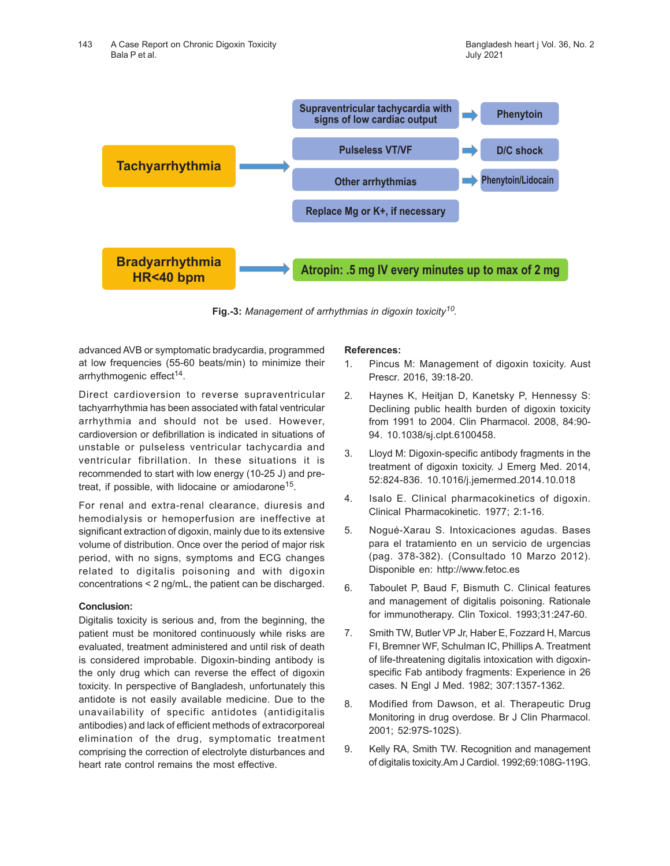

**Fig.-3:** *Management of arrhythmias in digoxin toxicity<sup>10</sup> .*

advanced AVB or symptomatic bradycardia, programmed at low frequencies (55-60 beats/min) to minimize their arrhythmogenic effect<sup>14</sup>.

Direct cardioversion to reverse supraventricular tachyarrhythmia has been associated with fatal ventricular arrhythmia and should not be used. However, cardioversion or defibrillation is indicated in situations of unstable or pulseless ventricular tachycardia and ventricular fibrillation. In these situations it is recommended to start with low energy (10-25 J) and pretreat, if possible, with lidocaine or amiodarone<sup>15</sup>.

For renal and extra-renal clearance, diuresis and hemodialysis or hemoperfusion are ineffective at significant extraction of digoxin, mainly due to its extensive volume of distribution. Once over the period of major risk period, with no signs, symptoms and ECG changes related to digitalis poisoning and with digoxin concentrations < 2 ng/mL, the patient can be discharged.

## **Conclusion:**

Digitalis toxicity is serious and, from the beginning, the patient must be monitored continuously while risks are evaluated, treatment administered and until risk of death is considered improbable. Digoxin-binding antibody is the only drug which can reverse the effect of digoxin toxicity. In perspective of Bangladesh, unfortunately this antidote is not easily available medicine. Due to the unavailability of specific antidotes (antidigitalis antibodies) and lack of efficient methods of extracorporeal elimination of the drug, symptomatic treatment comprising the correction of electrolyte disturbances and heart rate control remains the most effective.

## **References:**

- 1. Pincus M: Management of digoxin toxicity. Aust Prescr. 2016, 39:18-20.
- 2. Haynes K, Heitjan D, Kanetsky P, Hennessy S: Declining public health burden of digoxin toxicity from 1991 to 2004. Clin Pharmacol. 2008, 84:90- 94. 10.1038/sj.clpt.6100458.
- 3. Lloyd M: Digoxin-specific antibody fragments in the treatment of digoxin toxicity. J Emerg Med. 2014, 52:824-836. 10.1016/j.jemermed.2014.10.018
- 4. Isalo E. Clinical pharmacokinetics of digoxin. Clinical Pharmacokinetic. 1977; 2:1-16.
- 5. Nogué-Xarau S. Intoxicaciones agudas. Bases para el tratamiento en un servicio de urgencias (pag. 378-382). (Consultado 10 Marzo 2012). Disponible en: http://www.fetoc.es
- 6. Taboulet P, Baud F, Bismuth C. Clinical features and management of digitalis poisoning. Rationale for immunotherapy. Clin Toxicol. 1993;31:247-60.
- 7. Smith TW, Butler VP Jr, Haber E, Fozzard H, Marcus FI, Bremner WF, Schulman IC, Phillips A. Treatment of life-threatening digitalis intoxication with digoxinspecific Fab antibody fragments: Experience in 26 cases. N Engl J Med. 1982; 307:1357-1362.
- 8. Modified from Dawson, et al. Therapeutic Drug Monitoring in drug overdose. Br J Clin Pharmacol. 2001; 52:97S-102S).
- 9. Kelly RA, Smith TW. Recognition and management of digitalis toxicity.Am J Cardiol. 1992;69:108G-119G.